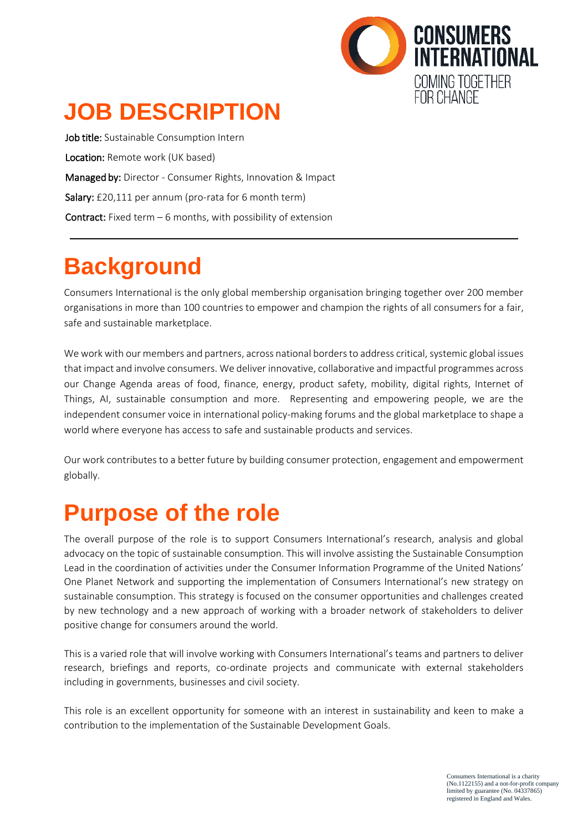

# **JOB DESCRIPTION**

Job title: Sustainable Consumption Intern Location: Remote work (UK based) Managed by: Director - Consumer Rights, Innovation & Impact Salary: £20,111 per annum (pro-rata for 6 month term) **Contract:** Fixed term  $-6$  months, with possibility of extension

### **Background**

Consumers International is the only global membership organisation bringing together over 200 member organisations in more than 100 countries to empower and champion the rights of all consumers for a fair, safe and sustainable marketplace.

We work with our members and partners, across national borders to address critical, systemic global issues that impact and involve consumers. We deliver innovative, collaborative and impactful programmes across our Change Agenda areas of food, finance, energy, product safety, mobility, digital rights, Internet of Things, AI, sustainable consumption and more. Representing and empowering people, we are the independent consumer voice in international policy-making forums and the global marketplace to shape a world where everyone has access to safe and sustainable products and services.

Our work contributes to a better future by building consumer protection, engagement and empowerment globally.

### **Purpose of the role**

The overall purpose of the role is to support Consumers International's research, analysis and global advocacy on the topic of sustainable consumption. This will involve assisting the Sustainable Consumption Lead in the coordination of activities under the Consumer Information Programme of the United Nations' One Planet Network and supporting the implementation of Consumers International's new strategy on sustainable consumption. This strategy is focused on the consumer opportunities and challenges created by new technology and a new approach of working with a broader network of stakeholders to deliver positive change for consumers around the world.

This is a varied role that will involve working with Consumers International's teams and partners to deliver research, briefings and reports, co-ordinate projects and communicate with external stakeholders including in governments, businesses and civil society.

This role is an excellent opportunity for someone with an interest in sustainability and keen to make a contribution to the implementation of the Sustainable Development Goals.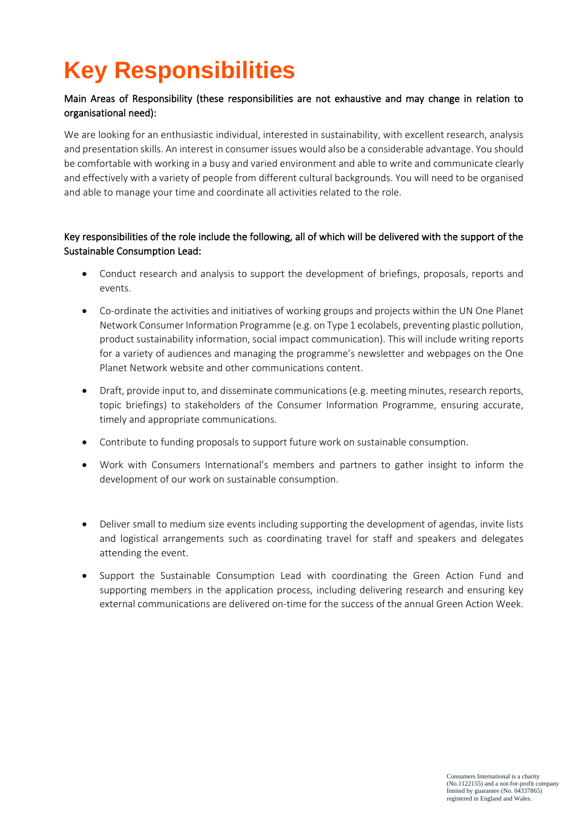# **Key Responsibilities**

#### Main Areas of Responsibility (these responsibilities are not exhaustive and may change in relation to organisational need):

We are looking for an enthusiastic individual, interested in sustainability, with excellent research, analysis and presentation skills. An interest in consumer issues would also be a considerable advantage. You should be comfortable with working in a busy and varied environment and able to write and communicate clearly and effectively with a variety of people from different cultural backgrounds. You will need to be organised and able to manage your time and coordinate all activities related to the role.

#### Key responsibilities of the role include the following, all of which will be delivered with the support of the Sustainable Consumption Lead:

- Conduct research and analysis to support the development of briefings, proposals, reports and events.
- Co-ordinate the activities and initiatives of working groups and projects within the UN One Planet Network Consumer Information Programme (e.g. on Type 1 ecolabels, preventing plastic pollution, product sustainability information, social impact communication). This will include writing reports for a variety of audiences and managing the programme's newsletter and webpages on the One Planet Network website and other communications content.
- Draft, provide input to, and disseminate communications (e.g. meeting minutes, research reports, topic briefings) to stakeholders of the Consumer Information Programme, ensuring accurate, timely and appropriate communications.
- Contribute to funding proposals to support future work on sustainable consumption.
- Work with Consumers International's members and partners to gather insight to inform the development of our work on sustainable consumption.
- Deliver small to medium size events including supporting the development of agendas, invite lists and logistical arrangements such as coordinating travel for staff and speakers and delegates attending the event.
- Support the Sustainable Consumption Lead with coordinating the Green Action Fund and supporting members in the application process, including delivering research and ensuring key external communications are delivered on-time for the success of the annual Green Action Week.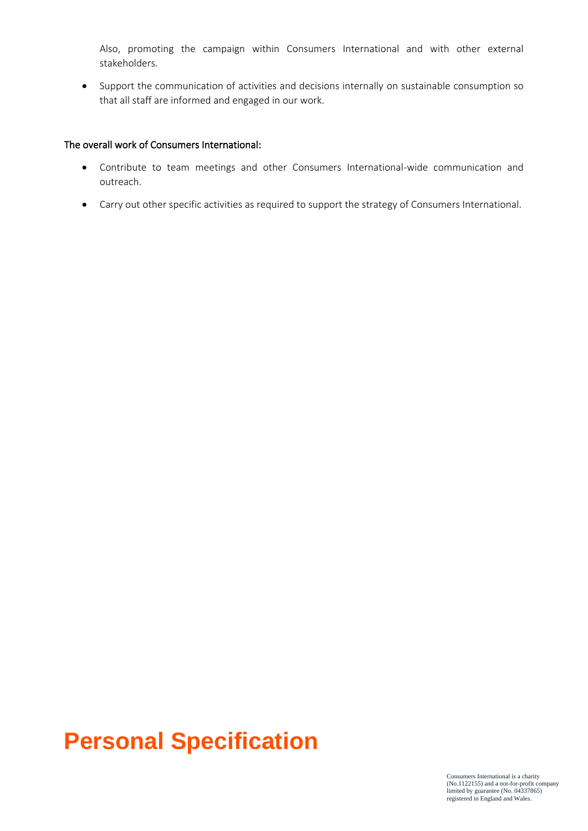Also, promoting the campaign within Consumers International and with other external stakeholders.

• Support the communication of activities and decisions internally on sustainable consumption so that all staff are informed and engaged in our work.

#### The overall work of Consumers International:

- Contribute to team meetings and other Consumers International-wide communication and outreach.
- Carry out other specific activities as required to support the strategy of Consumers International.

### **Personal Specification**

Consumers International is a charity (No.1122155) and a not-for-profit company limited by guarantee (No. 04337865) registered in England and Wales.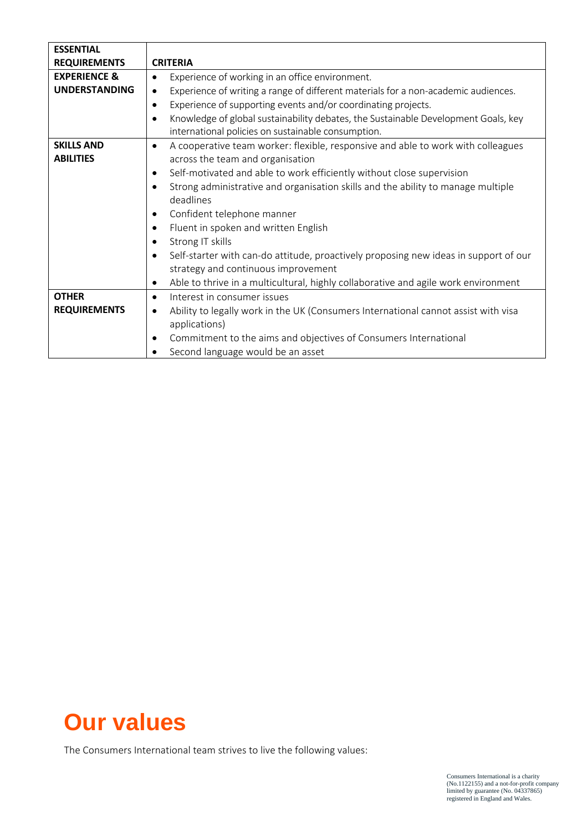| <b>ESSENTIAL</b>        |                                                                                                   |
|-------------------------|---------------------------------------------------------------------------------------------------|
| <b>REQUIREMENTS</b>     | <b>CRITERIA</b>                                                                                   |
| <b>EXPERIENCE &amp;</b> | Experience of working in an office environment.<br>$\bullet$                                      |
| <b>UNDERSTANDING</b>    | Experience of writing a range of different materials for a non-academic audiences.<br>$\bullet$   |
|                         | Experience of supporting events and/or coordinating projects.<br>$\bullet$                        |
|                         | Knowledge of global sustainability debates, the Sustainable Development Goals, key<br>$\bullet$   |
|                         | international policies on sustainable consumption.                                                |
| <b>SKILLS AND</b>       | A cooperative team worker: flexible, responsive and able to work with colleagues<br>$\bullet$     |
| <b>ABILITIES</b>        | across the team and organisation                                                                  |
|                         | Self-motivated and able to work efficiently without close supervision<br>$\bullet$                |
|                         | Strong administrative and organisation skills and the ability to manage multiple<br>$\bullet$     |
|                         | deadlines                                                                                         |
|                         | Confident telephone manner<br>٠                                                                   |
|                         | Fluent in spoken and written English<br>$\bullet$                                                 |
|                         | Strong IT skills<br>$\bullet$                                                                     |
|                         | Self-starter with can-do attitude, proactively proposing new ideas in support of our<br>$\bullet$ |
|                         | strategy and continuous improvement                                                               |
|                         | Able to thrive in a multicultural, highly collaborative and agile work environment<br>٠           |
| <b>OTHER</b>            | Interest in consumer issues<br>$\bullet$                                                          |
| <b>REQUIREMENTS</b>     | Ability to legally work in the UK (Consumers International cannot assist with visa<br>$\bullet$   |
|                         | applications)                                                                                     |
|                         | Commitment to the aims and objectives of Consumers International<br>٠                             |
|                         | Second language would be an asset                                                                 |

### **Our values**

The Consumers International team strives to live the following values: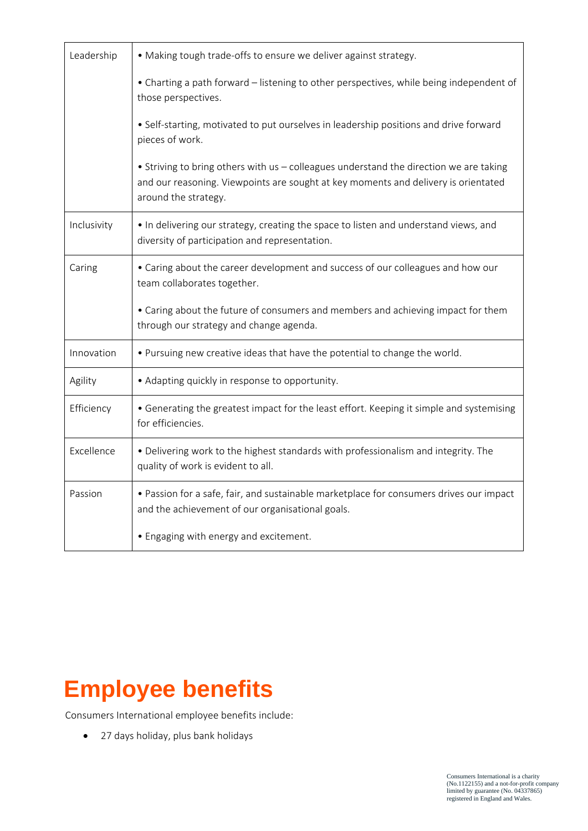| Leadership  | • Making tough trade-offs to ensure we deliver against strategy.                                                                                                                                     |
|-------------|------------------------------------------------------------------------------------------------------------------------------------------------------------------------------------------------------|
|             | • Charting a path forward – listening to other perspectives, while being independent of<br>those perspectives.                                                                                       |
|             | • Self-starting, motivated to put ourselves in leadership positions and drive forward<br>pieces of work.                                                                                             |
|             | • Striving to bring others with us - colleagues understand the direction we are taking<br>and our reasoning. Viewpoints are sought at key moments and delivery is orientated<br>around the strategy. |
| Inclusivity | • In delivering our strategy, creating the space to listen and understand views, and<br>diversity of participation and representation.                                                               |
| Caring      | • Caring about the career development and success of our colleagues and how our<br>team collaborates together.                                                                                       |
|             | • Caring about the future of consumers and members and achieving impact for them<br>through our strategy and change agenda.                                                                          |
| Innovation  | . Pursuing new creative ideas that have the potential to change the world.                                                                                                                           |
| Agility     | • Adapting quickly in response to opportunity.                                                                                                                                                       |
| Efficiency  | • Generating the greatest impact for the least effort. Keeping it simple and systemising<br>for efficiencies.                                                                                        |
| Excellence  | . Delivering work to the highest standards with professionalism and integrity. The<br>quality of work is evident to all.                                                                             |
| Passion     | • Passion for a safe, fair, and sustainable marketplace for consumers drives our impact<br>and the achievement of our organisational goals.                                                          |
|             | • Engaging with energy and excitement.                                                                                                                                                               |

## **Employee benefits**

Consumers International employee benefits include:

• 27 days holiday, plus bank holidays